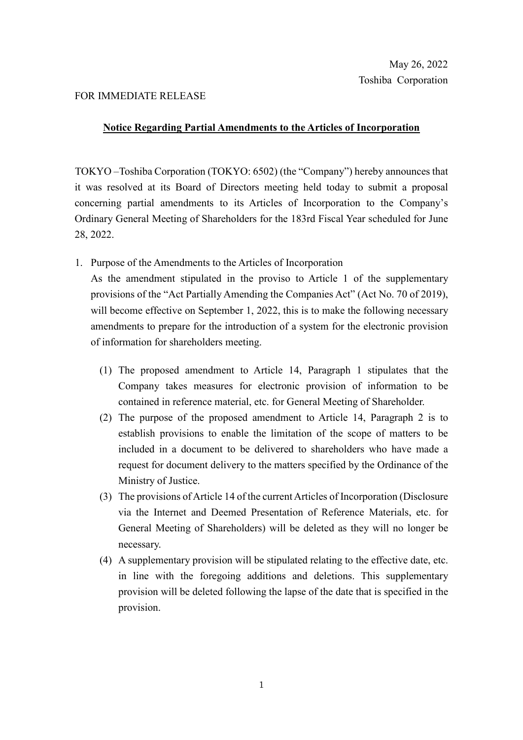## FOR IMMEDIATE RELEASE

## **Notice Regarding Partial Amendments to the Articles of Incorporation**

TOKYO –Toshiba Corporation (TOKYO: 6502) (the "Company") hereby announces that it was resolved at its Board of Directors meeting held today to submit a proposal concerning partial amendments to its Articles of Incorporation to the Company's Ordinary General Meeting of Shareholders for the 183rd Fiscal Year scheduled for June 28, 2022.

1. Purpose of the Amendments to the Articles of Incorporation

As the amendment stipulated in the proviso to Article 1 of the supplementary provisions of the "Act Partially Amending the Companies Act" (Act No. 70 of 2019), will become effective on September 1, 2022, this is to make the following necessary amendments to prepare for the introduction of a system for the electronic provision of information for shareholders meeting.

- (1) The proposed amendment to Article 14, Paragraph 1 stipulates that the Company takes measures for electronic provision of information to be contained in reference material, etc. for General Meeting of Shareholder.
- (2) The purpose of the proposed amendment to Article 14, Paragraph 2 is to establish provisions to enable the limitation of the scope of matters to be included in a document to be delivered to shareholders who have made a request for document delivery to the matters specified by the Ordinance of the Ministry of Justice.
- (3) The provisions of Article 14 of the current Articles of Incorporation (Disclosure via the Internet and Deemed Presentation of Reference Materials, etc. for General Meeting of Shareholders) will be deleted as they will no longer be necessary.
- (4) A supplementary provision will be stipulated relating to the effective date, etc. in line with the foregoing additions and deletions. This supplementary provision will be deleted following the lapse of the date that is specified in the provision.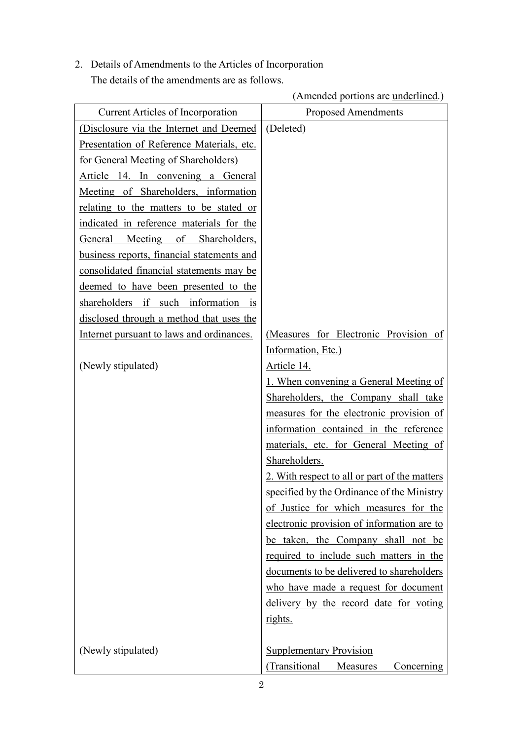2. Details of Amendments to the Articles of Incorporation The details of the amendments are as follows.

(Amended portions are underlined.)

| <b>Current Articles of Incorporation</b>   | <b>Proposed Amendments</b>                    |
|--------------------------------------------|-----------------------------------------------|
| (Disclosure via the Internet and Deemed    | (Deleted)                                     |
| Presentation of Reference Materials, etc.  |                                               |
| for General Meeting of Shareholders)       |                                               |
| Article 14. In convening a General         |                                               |
| Meeting of Shareholders, information       |                                               |
| relating to the matters to be stated or    |                                               |
| indicated in reference materials for the   |                                               |
| Meeting of Shareholders,<br>General        |                                               |
| business reports, financial statements and |                                               |
| consolidated financial statements may be   |                                               |
| deemed to have been presented to the       |                                               |
| shareholders if such information is        |                                               |
| disclosed through a method that uses the   |                                               |
| Internet pursuant to laws and ordinances.  | (Measures for Electronic Provision of         |
|                                            | Information, Etc.)                            |
| (Newly stipulated)                         | Article 14.                                   |
|                                            | 1. When convening a General Meeting of        |
|                                            | Shareholders, the Company shall take          |
|                                            | measures for the electronic provision of      |
|                                            | information contained in the reference        |
|                                            | materials, etc. for General Meeting of        |
|                                            | Shareholders.                                 |
|                                            | 2. With respect to all or part of the matters |
|                                            | specified by the Ordinance of the Ministry    |
|                                            | of Justice for which measures for the         |
|                                            | electronic provision of information are to    |
|                                            | be taken, the Company shall not be            |
|                                            | required to include such matters in the       |
|                                            | documents to be delivered to shareholders     |
|                                            | who have made a request for document          |
|                                            | delivery by the record date for voting        |
|                                            | rights.                                       |
|                                            |                                               |
| (Newly stipulated)                         | <b>Supplementary Provision</b>                |
|                                            | (Transitional<br>Measures<br>Concerning       |